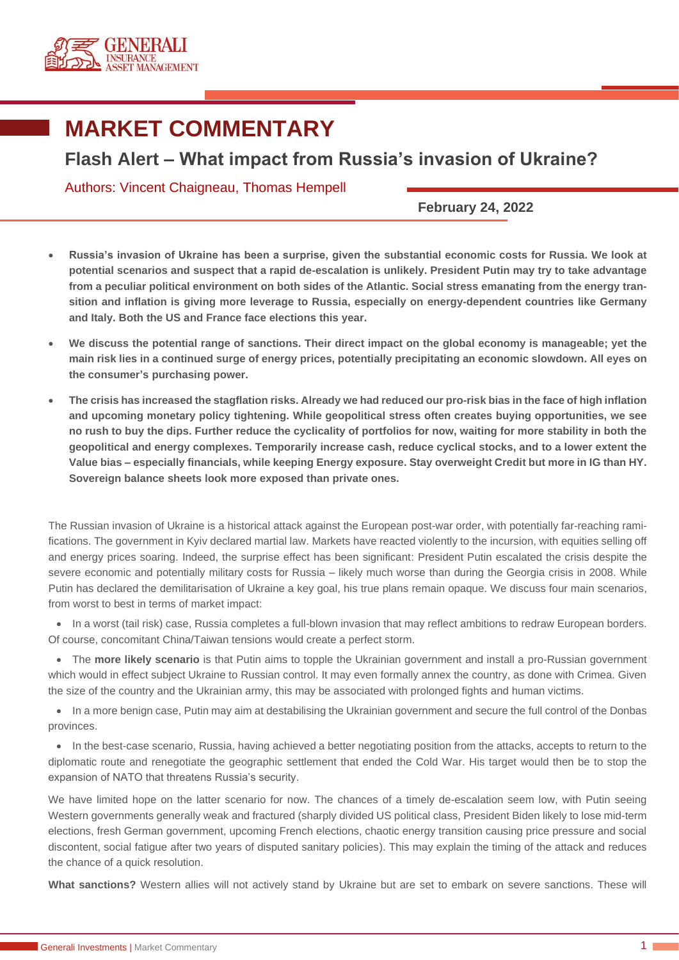

## **MARKET COMMENTARY**

## **Flash Alert – What impact from Russia's invasion of Ukraine?**

Authors: Vincent Chaigneau, Thomas Hempell

**February 24, 2022**

- **Russia's invasion of Ukraine has been a surprise, given the substantial economic costs for Russia. We look at potential scenarios and suspect that a rapid de-escalation is unlikely. President Putin may try to take advantage from a peculiar political environment on both sides of the Atlantic. Social stress emanating from the energy transition and inflation is giving more leverage to Russia, especially on energy-dependent countries like Germany and Italy. Both the US and France face elections this year.**
- **We discuss the potential range of sanctions. Their direct impact on the global economy is manageable; yet the main risk lies in a continued surge of energy prices, potentially precipitating an economic slowdown. All eyes on the consumer's purchasing power.**
- **The crisis has increased the stagflation risks. Already we had reduced our pro-risk bias in the face of high inflation and upcoming monetary policy tightening. While geopolitical stress often creates buying opportunities, we see no rush to buy the dips. Further reduce the cyclicality of portfolios for now, waiting for more stability in both the geopolitical and energy complexes. Temporarily increase cash, reduce cyclical stocks, and to a lower extent the Value bias – especially financials, while keeping Energy exposure. Stay overweight Credit but more in IG than HY. Sovereign balance sheets look more exposed than private ones.**

The Russian invasion of Ukraine is a historical attack against the European post-war order, with potentially far-reaching ramifications. The government in Kyiv declared martial law. Markets have reacted violently to the incursion, with equities selling off and energy prices soaring. Indeed, the surprise effect has been significant: President Putin escalated the crisis despite the severe economic and potentially military costs for Russia – likely much worse than during the Georgia crisis in 2008. While Putin has declared the demilitarisation of Ukraine a key goal, his true plans remain opaque. We discuss four main scenarios, from worst to best in terms of market impact:

• In a worst (tail risk) case, Russia completes a full-blown invasion that may reflect ambitions to redraw European borders. Of course, concomitant China/Taiwan tensions would create a perfect storm.

• The **more likely scenario** is that Putin aims to topple the Ukrainian government and install a pro-Russian government which would in effect subject Ukraine to Russian control. It may even formally annex the country, as done with Crimea. Given the size of the country and the Ukrainian army, this may be associated with prolonged fights and human victims.

• In a more benign case, Putin may aim at destabilising the Ukrainian government and secure the full control of the Donbas provinces.

• In the best-case scenario, Russia, having achieved a better negotiating position from the attacks, accepts to return to the diplomatic route and renegotiate the geographic settlement that ended the Cold War. His target would then be to stop the expansion of NATO that threatens Russia's security.

We have limited hope on the latter scenario for now. The chances of a timely de-escalation seem low, with Putin seeing Western governments generally weak and fractured (sharply divided US political class, President Biden likely to lose mid-term elections, fresh German government, upcoming French elections, chaotic energy transition causing price pressure and social discontent, social fatigue after two years of disputed sanitary policies). This may explain the timing of the attack and reduces the chance of a quick resolution.

**What sanctions?** Western allies will not actively stand by Ukraine but are set to embark on severe sanctions. These will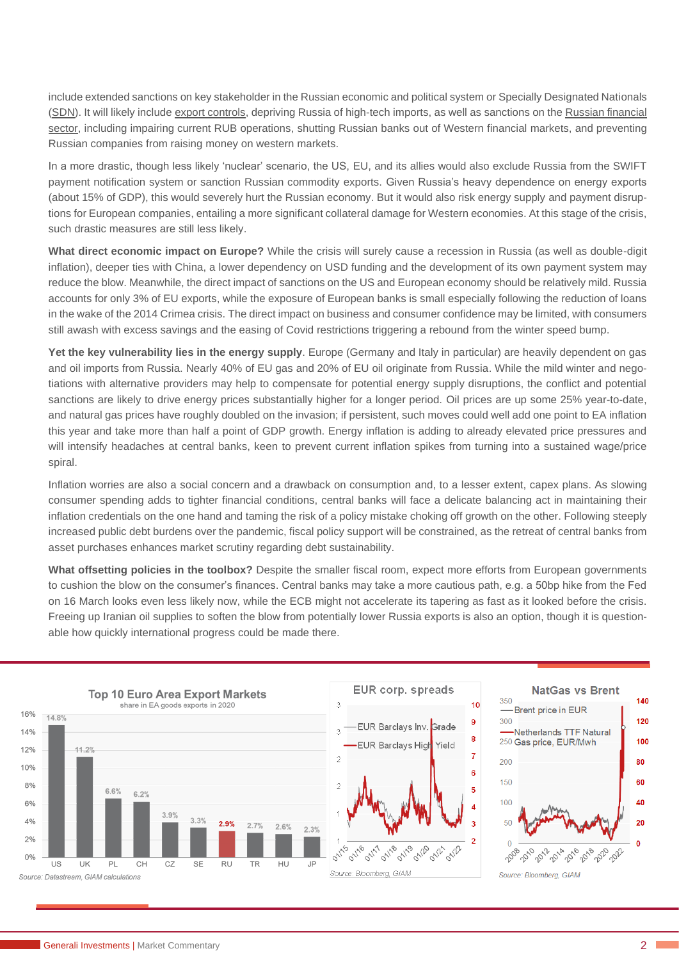include extended sanctions on key stakeholder in the Russian economic and political system or Specially Designated Nationals (SDN). It will likely include export controls, depriving Russia of high-tech imports, as well as sanctions on the Russian financial sector, including impairing current RUB operations, shutting Russian banks out of Western financial markets, and preventing Russian companies from raising money on western markets.

In a more drastic, though less likely 'nuclear' scenario, the US, EU, and its allies would also exclude Russia from the SWIFT payment notification system or sanction Russian commodity exports. Given Russia's heavy dependence on energy exports (about 15% of GDP), this would severely hurt the Russian economy. But it would also risk energy supply and payment disruptions for European companies, entailing a more significant collateral damage for Western economies. At this stage of the crisis, such drastic measures are still less likely.

**What direct economic impact on Europe?** While the crisis will surely cause a recession in Russia (as well as double-digit inflation), deeper ties with China, a lower dependency on USD funding and the development of its own payment system may reduce the blow. Meanwhile, the direct impact of sanctions on the US and European economy should be relatively mild. Russia accounts for only 3% of EU exports, while the exposure of European banks is small especially following the reduction of loans in the wake of the 2014 Crimea crisis. The direct impact on business and consumer confidence may be limited, with consumers still awash with excess savings and the easing of Covid restrictions triggering a rebound from the winter speed bump.

**Yet the key vulnerability lies in the energy supply**. Europe (Germany and Italy in particular) are heavily dependent on gas and oil imports from Russia. Nearly 40% of EU gas and 20% of EU oil originate from Russia. While the mild winter and negotiations with alternative providers may help to compensate for potential energy supply disruptions, the conflict and potential sanctions are likely to drive energy prices substantially higher for a longer period. Oil prices are up some 25% year-to-date, and natural gas prices have roughly doubled on the invasion; if persistent, such moves could well add one point to EA inflation this year and take more than half a point of GDP growth. Energy inflation is adding to already elevated price pressures and will intensify headaches at central banks, keen to prevent current inflation spikes from turning into a sustained wage/price spiral.

Inflation worries are also a social concern and a drawback on consumption and, to a lesser extent, capex plans. As slowing consumer spending adds to tighter financial conditions, central banks will face a delicate balancing act in maintaining their inflation credentials on the one hand and taming the risk of a policy mistake choking off growth on the other. Following steeply increased public debt burdens over the pandemic, fiscal policy support will be constrained, as the retreat of central banks from asset purchases enhances market scrutiny regarding debt sustainability.

**What offsetting policies in the toolbox?** Despite the smaller fiscal room, expect more efforts from European governments to cushion the blow on the consumer's finances. Central banks may take a more cautious path, e.g. a 50bp hike from the Fed on 16 March looks even less likely now, while the ECB might not accelerate its tapering as fast as it looked before the crisis. Freeing up Iranian oil supplies to soften the blow from potentially lower Russia exports is also an option, though it is questionable how quickly international progress could be made there.

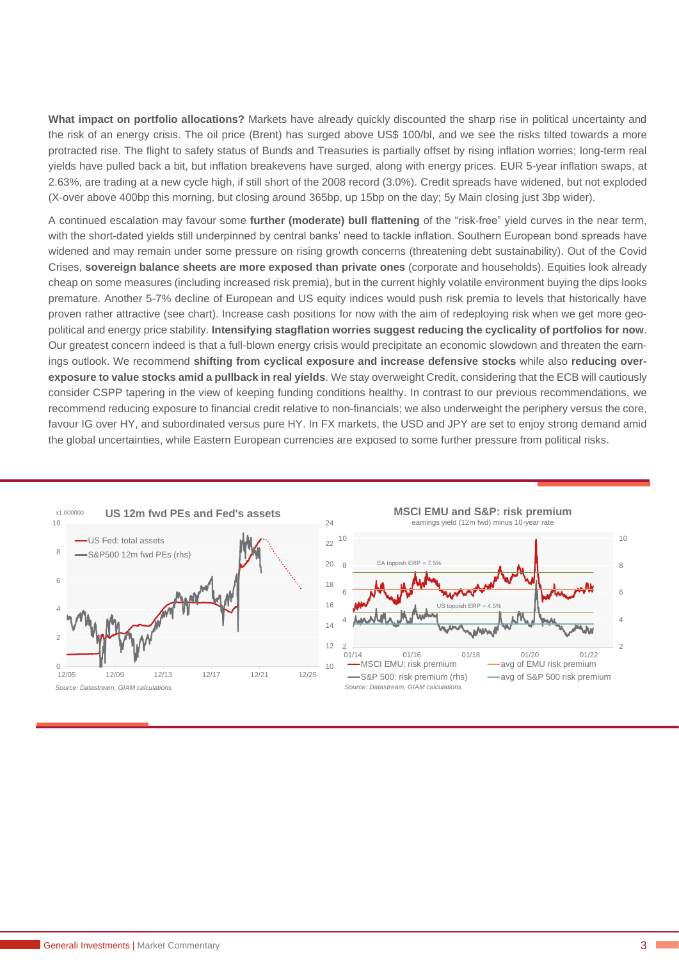**What impact on portfolio allocations?** Markets have already quickly discounted the sharp rise in political uncertainty and the risk of an energy crisis. The oil price (Brent) has surged above US\$ 100/bl, and we see the risks tilted towards a more protracted rise. The flight to safety status of Bunds and Treasuries is partially offset by rising inflation worries; long-term real yields have pulled back a bit, but inflation breakevens have surged, along with energy prices. EUR 5-year inflation swaps, at 2.63%, are trading at a new cycle high, if still short of the 2008 record (3.0%). Credit spreads have widened, but not exploded (X-over above 400bp this morning, but closing around 365bp, up 15bp on the day; 5y Main closing just 3bp wider).

A continued escalation may favour some **further (moderate) bull flattening** of the "risk-free" yield curves in the near term, with the short-dated yields still underpinned by central banks' need to tackle inflation. Southern European bond spreads have widened and may remain under some pressure on rising growth concerns (threatening debt sustainability). Out of the Covid Crises, **sovereign balance sheets are more exposed than private ones** (corporate and households). Equities look already cheap on some measures (including increased risk premia), but in the current highly volatile environment buying the dips looks premature. Another 5-7% decline of European and US equity indices would push risk premia to levels that historically have proven rather attractive (see chart). Increase cash positions for now with the aim of redeploying risk when we get more geopolitical and energy price stability. **Intensifying stagflation worries suggest reducing the cyclicality of portfolios for now**. Our greatest concern indeed is that a full-blown energy crisis would precipitate an economic slowdown and threaten the earnings outlook. We recommend **shifting from cyclical exposure and increase defensive stocks** while also **reducing overexposure to value stocks amid a pullback in real yields**. We stay overweight Credit, considering that the ECB will cautiously consider CSPP tapering in the view of keeping funding conditions healthy. In contrast to our previous recommendations, we recommend reducing exposure to financial credit relative to non-financials; we also underweight the periphery versus the core, favour IG over HY, and subordinated versus pure HY. In FX markets, the USD and JPY are set to enjoy strong demand amid the global uncertainties, while Eastern European currencies are exposed to some further pressure from political risks.

10







10